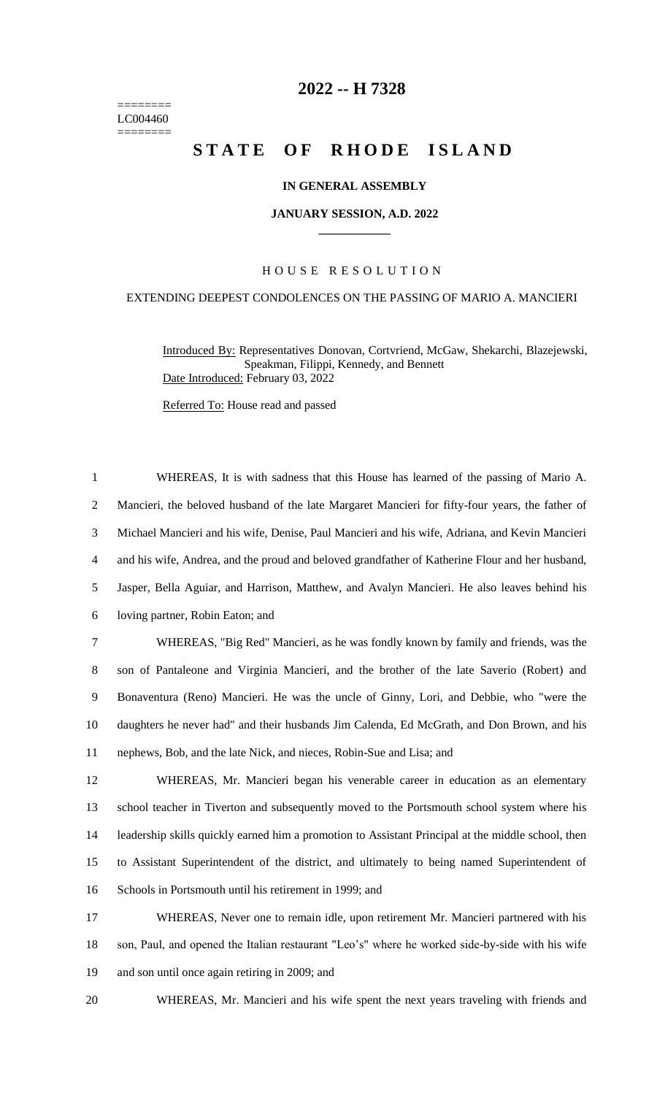======== LC004460 ========

## **-- H 7328**

# **STATE OF RHODE ISLAND**

## **IN GENERAL ASSEMBLY**

#### **JANUARY SESSION, A.D. 2022 \_\_\_\_\_\_\_\_\_\_\_\_**

## H O U S E R E S O L U T I O N

## EXTENDING DEEPEST CONDOLENCES ON THE PASSING OF MARIO A. MANCIERI

Introduced By: Representatives Donovan, Cortvriend, McGaw, Shekarchi, Blazejewski, Speakman, Filippi, Kennedy, and Bennett Date Introduced: February 03, 2022

Referred To: House read and passed

 WHEREAS, It is with sadness that this House has learned of the passing of Mario A. Mancieri, the beloved husband of the late Margaret Mancieri for fifty-four years, the father of Michael Mancieri and his wife, Denise, Paul Mancieri and his wife, Adriana, and Kevin Mancieri and his wife, Andrea, and the proud and beloved grandfather of Katherine Flour and her husband, Jasper, Bella Aguiar, and Harrison, Matthew, and Avalyn Mancieri. He also leaves behind his loving partner, Robin Eaton; and WHEREAS, "Big Red" Mancieri, as he was fondly known by family and friends, was the son of Pantaleone and Virginia Mancieri, and the brother of the late Saverio (Robert) and Bonaventura (Reno) Mancieri. He was the uncle of Ginny, Lori, and Debbie, who "were the daughters he never had" and their husbands Jim Calenda, Ed McGrath, and Don Brown, and his nephews, Bob, and the late Nick, and nieces, Robin-Sue and Lisa; and WHEREAS, Mr. Mancieri began his venerable career in education as an elementary school teacher in Tiverton and subsequently moved to the Portsmouth school system where his leadership skills quickly earned him a promotion to Assistant Principal at the middle school, then to Assistant Superintendent of the district, and ultimately to being named Superintendent of Schools in Portsmouth until his retirement in 1999; and WHEREAS, Never one to remain idle, upon retirement Mr. Mancieri partnered with his

 son, Paul, and opened the Italian restaurant "Leo's" where he worked side-by-side with his wife and son until once again retiring in 2009; and

WHEREAS, Mr. Mancieri and his wife spent the next years traveling with friends and